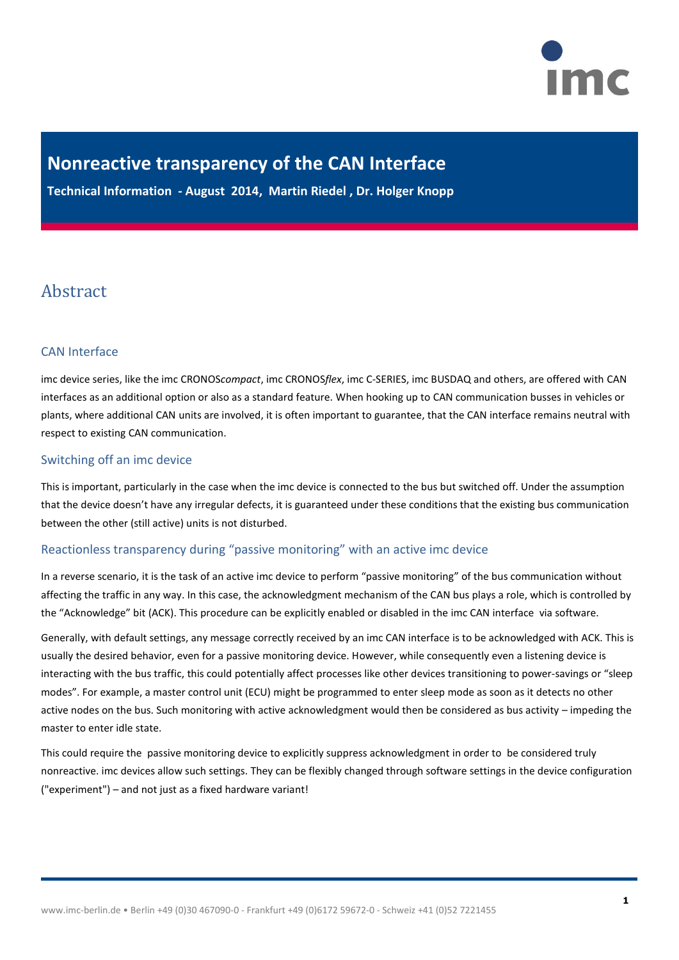

# **Nonreactive transparency of the CAN Interface**

**Technical Information - August 2014, Martin Riedel , Dr. Holger Knopp**

## Abstract

### CAN Interface

imc device series, like the imc CRONOS*compact*, imc CRONOS*flex*, imc C-SERIES, imc BUSDAQ and others, are offered with CAN interfaces as an additional option or also as a standard feature. When hooking up to CAN communication busses in vehicles or plants, where additional CAN units are involved, it is often important to guarantee, that the CAN interface remains neutral with respect to existing CAN communication.

### Switching off an imc device

This is important, particularly in the case when the imc device is connected to the bus but switched off. Under the assumption that the device doesn't have any irregular defects, it is guaranteed under these conditions that the existing bus communication between the other (still active) units is not disturbed.

### Reactionless transparency during "passive monitoring" with an active imc device

In a reverse scenario, it is the task of an active imc device to perform "passive monitoring" of the bus communication without affecting the traffic in any way. In this case, the acknowledgment mechanism of the CAN bus plays a role, which is controlled by the "Acknowledge" bit (ACK). This procedure can be explicitly enabled or disabled in the imc CAN interface via software.

Generally, with default settings, any message correctly received by an imc CAN interface is to be acknowledged with ACK. This is usually the desired behavior, even for a passive monitoring device. However, while consequently even a listening device is interacting with the bus traffic, this could potentially affect processes like other devices transitioning to power-savings or "sleep modes". For example, a master control unit (ECU) might be programmed to enter sleep mode as soon as it detects no other active nodes on the bus. Such monitoring with active acknowledgment would then be considered as bus activity – impeding the master to enter idle state.

This could require the passive monitoring device to explicitly suppress acknowledgment in order to be considered truly nonreactive. imc devices allow such settings. They can be flexibly changed through software settings in the device configuration ("experiment") – and not just as a fixed hardware variant!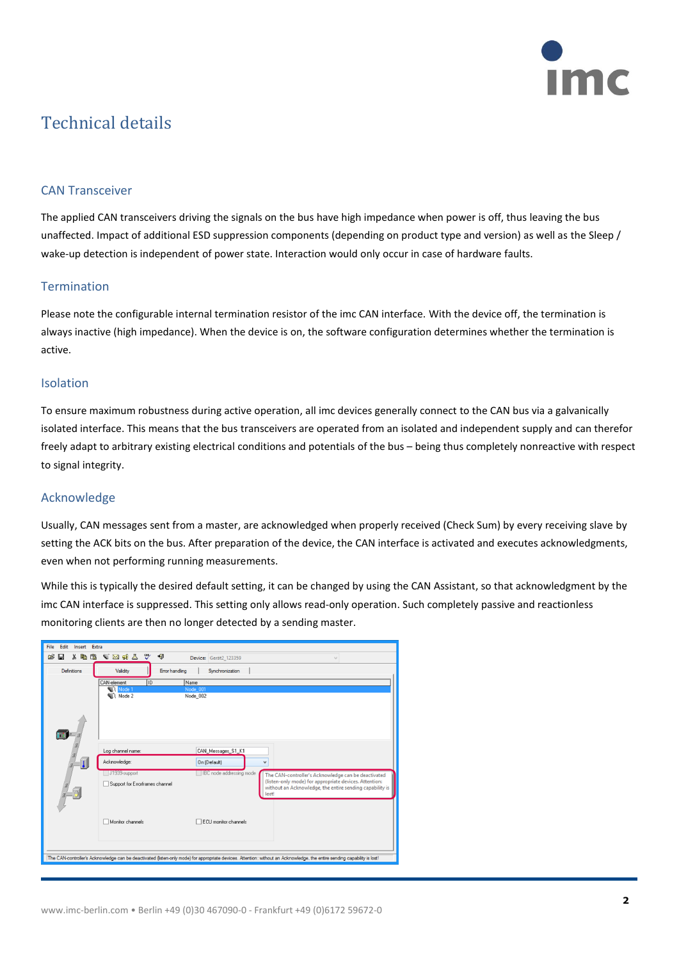

## Technical details

## CAN Transceiver

The applied CAN transceivers driving the signals on the bus have high impedance when power is off, thus leaving the bus unaffected. Impact of additional ESD suppression components (depending on product type and version) as well as the Sleep / wake-up detection is independent of power state. Interaction would only occur in case of hardware faults.

#### **Termination**

Please note the configurable internal termination resistor of the imc CAN interface. With the device off, the termination is always inactive (high impedance). When the device is on, the software configuration determines whether the termination is active.

#### Isolation

To ensure maximum robustness during active operation, all imc devices generally connect to the CAN bus via a galvanically isolated interface. This means that the bus transceivers are operated from an isolated and independent supply and can therefor freely adapt to arbitrary existing electrical conditions and potentials of the bus – being thus completely nonreactive with respect to signal integrity.

### Acknowledge

Usually, CAN messages sent from a master, are acknowledged when properly received (Check Sum) by every receiving slave by setting the ACK bits on the bus. After preparation of the device, the CAN interface is activated and executes acknowledgments, even when not performing running measurements.

While this is typically the desired default setting, it can be changed by using the CAN Assistant, so that acknowledgment by the imc CAN interface is suppressed. This setting only allows read-only operation. Such completely passive and reactionless monitoring clients are then no longer detected by a sending master.

| Edit Insert Extra<br>File                                             |                                                                                                                                                                                                                                                                           |
|-----------------------------------------------------------------------|---------------------------------------------------------------------------------------------------------------------------------------------------------------------------------------------------------------------------------------------------------------------------|
| ĉ<br>8 D G G<br>⊟                                                     | <b>ARE</b><br>₩<br>切<br>Device: Gerät2_123359<br>$\backsim$                                                                                                                                                                                                               |
| Definitions                                                           | Validity<br>Error handling<br>Synchronization                                                                                                                                                                                                                             |
|                                                                       | CAN-element<br><b>IID</b><br>Name                                                                                                                                                                                                                                         |
|                                                                       | <b>Will Node 1</b><br>Node 001<br><b>WILL</b> Node 2<br>Node_002                                                                                                                                                                                                          |
| $\begin{array}{c} \hline \rule{0pt}{2ex} \rule{0pt}{2ex} \end{array}$ | CAN_Messages_S1_K1<br>Log channel name:<br>Acknowledge:<br>On (Default)<br>$\checkmark$                                                                                                                                                                                   |
|                                                                       | <b>IBC</b> node addressing mode<br>J1939-support<br>The CAN-controller's Acknowledge can be deactivated<br>(listen-only mode) for appropriate devices. Attention:<br>Support for Errorframes channel<br>without an Acknowledge, the entire sending capability is<br>lost! |
|                                                                       | Monitor channels<br>ECU monitor channels                                                                                                                                                                                                                                  |
|                                                                       | The CAN-controller's Acknowledge can be deactivated (listen-only mode) for appropriate devices. Attention: without an Acknowledge, the entire sending capability is lost!                                                                                                 |